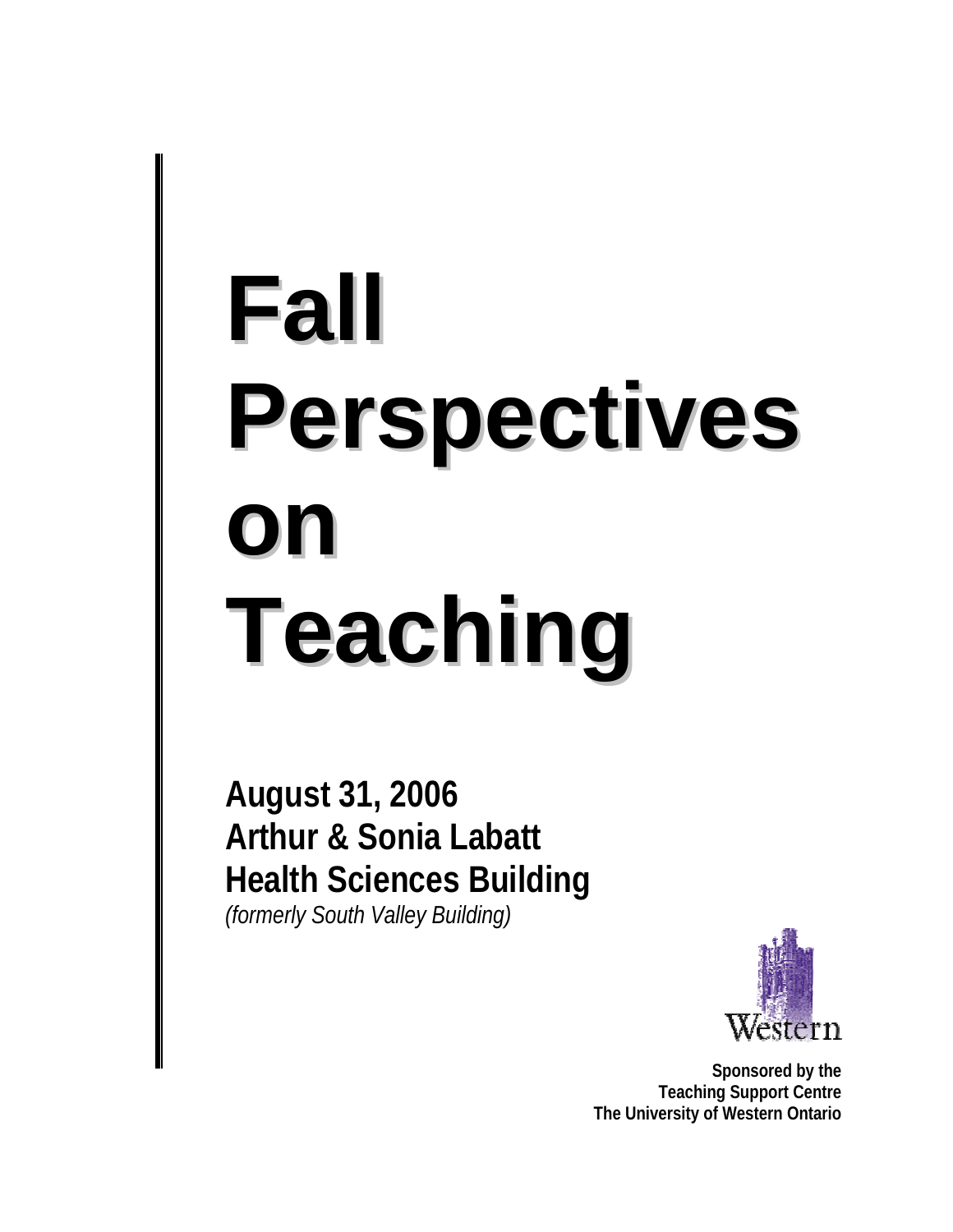# **Fall Perspectives on Teaching**

**August 31, 2006 Arthur & Sonia Labatt Health Sciences Building**  *(formerly South Valley Building)*



**Sponsored by the Teaching Support Centre The University of Western Ontario**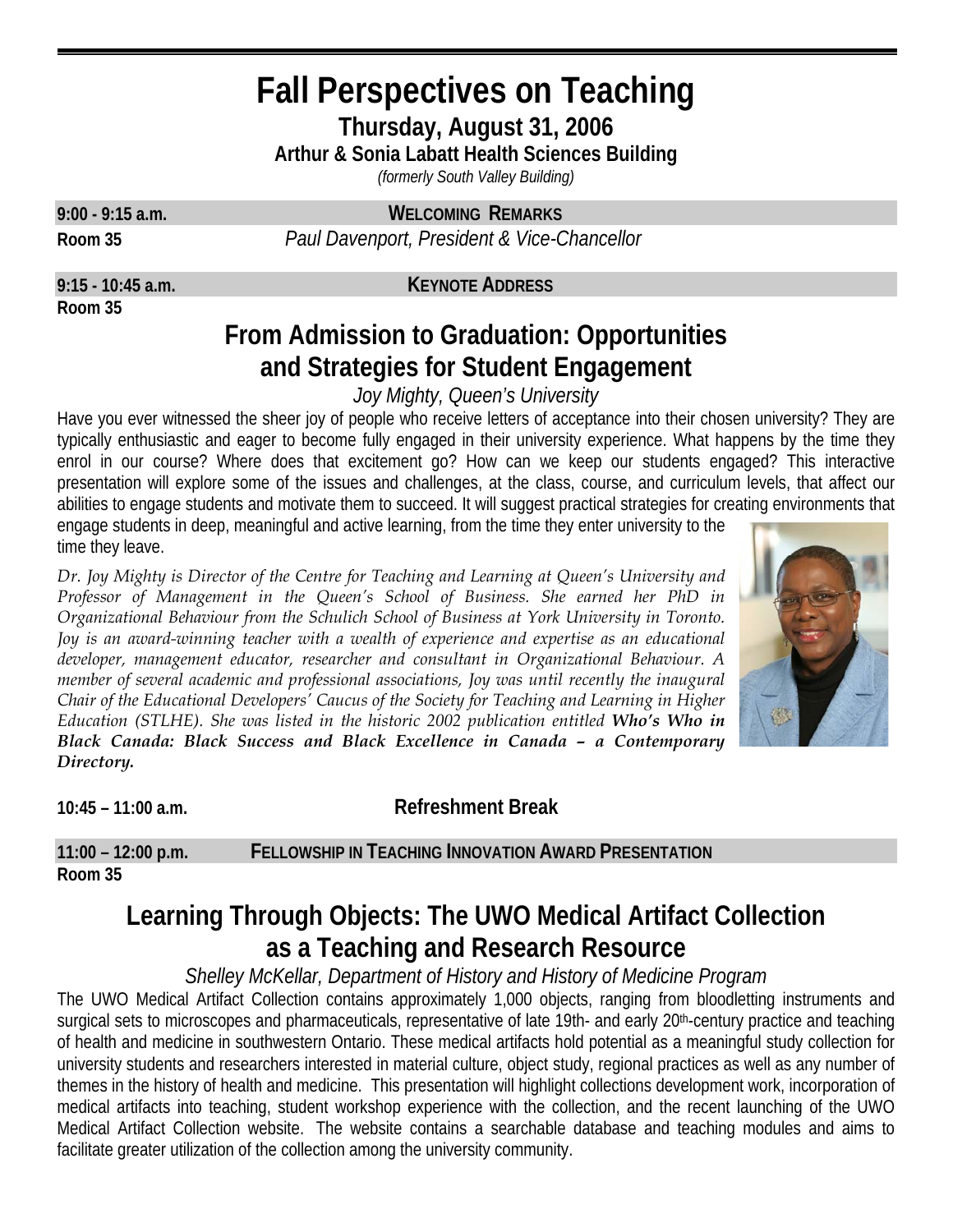# **Fall Perspectives on Teaching**

**Thursday, August 31, 2006** 

**Arthur & Sonia Labatt Health Sciences Building** 

*(formerly South Valley Building)* 

**9:00 - 9:15 a.m. WELCOMING REMARKS Room 35** *Paul Davenport, President & Vice-Chancellor*

**Room 35**

**9:15 - 10:45 a.m. KEYNOTE ADDRESS**

## **From Admission to Graduation: Opportunities and Strategies for Student Engagement**

*Joy Mighty, Queen's University* 

Have you ever witnessed the sheer joy of people who receive letters of acceptance into their chosen university? They are typically enthusiastic and eager to become fully engaged in their university experience. What happens by the time they enrol in our course? Where does that excitement go? How can we keep our students engaged? This interactive presentation will explore some of the issues and challenges, at the class, course, and curriculum levels, that affect our abilities to engage students and motivate them to succeed. It will suggest practical strategies for creating environments that engage students in deep, meaningful and active learning, from the time they enter university to the time they leave.

*Dr. Joy Mighty is Director of the Centre for Teaching and Learning at Queen's University and Professor of Management in the Queen's School of Business. She earned her PhD in Organizational Behaviour from the Schulich School of Business at York University in Toronto. Joy is an award-winning teacher with a wealth of experience and expertise as an educational developer, management educator, researcher and consultant in Organizational Behaviour. A member of several academic and professional associations, Joy was until recently the inaugural Chair of the Educational Developers' Caucus of the Society for Teaching and Learning in Higher Education (STLHE). She was listed in the historic 2002 publication entitled Who's Who in Black Canada: Black Success and Black Excellence in Canada – a Contemporary Directory.*



**10:45 – 11:00 a.m. Refreshment Break**

**11:00 – 12:00 p.m. FELLOWSHIP IN TEACHING INNOVATION AWARD PRESENTATION Room 35**

## **Learning Through Objects: The UWO Medical Artifact Collection as a Teaching and Research Resource**

#### *Shelley McKellar, Department of History and History of Medicine Program*

The UWO Medical Artifact Collection contains approximately 1,000 objects, ranging from bloodletting instruments and surgical sets to microscopes and pharmaceuticals, representative of late 19th- and early 20<sup>th</sup>-century practice and teaching of health and medicine in southwestern Ontario. These medical artifacts hold potential as a meaningful study collection for university students and researchers interested in material culture, object study, regional practices as well as any number of themes in the history of health and medicine. This presentation will highlight collections development work, incorporation of medical artifacts into teaching, student workshop experience with the collection, and the recent launching of the UWO Medical Artifact Collection website. The website contains a searchable database and teaching modules and aims to facilitate greater utilization of the collection among the university community.